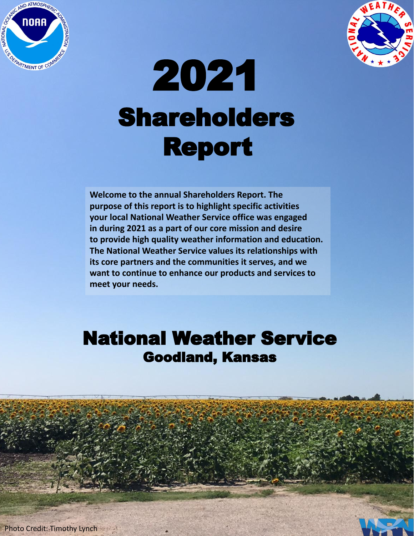



# Shareholders Report 2021

**Welcome to the annual Shareholders Report. The purpose of this report is to highlight specific activities your local National Weather Service office was engaged in during 2021 as a part of our core mission and desire to provide high quality weather information and education. The National Weather Service values its relationships with its core partners and the communities it serves, and we want to continue to enhance our products and services to meet your needs.**

#### National Weather Service Goodland, Kansas

**Photo Credit: Timothy Lynch**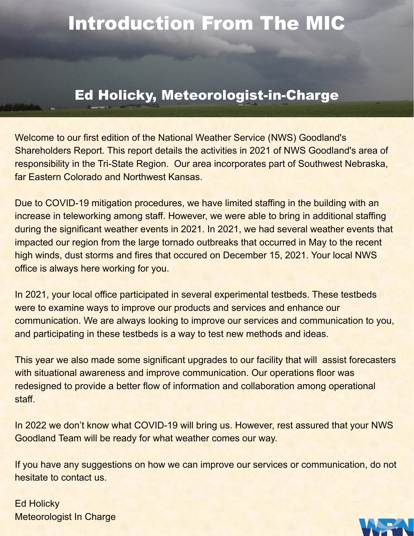### Introduction From The MIC

#### Ed Holicky, Meteorologist-in-Charge

Welcome to our first edition of the National Weather Service (NWS) Goodland's Shareholders Report. This report details the activities in 2021 of NWS Goodland's area of responsibility in the Tri-State Region. Our area incorporates part of Southwest Nebraska, far Eastern Colorado and Northwest Kansas.

Due to COVID-19 mitigation procedures, we have limited staffing in the building with an increase in teleworking among staff. However, we were able to bring in additional staffing during the significant weather events in 2021. In 2021, we had several weather events that impacted our region from the large tornado outbreaks that occurred in May to the recent high winds, dust storms and fires that occured on December 15, 2021. Your local NWS office is always here working for you.

In 2021, your local office participated in several experimental testbeds. These testbeds were to examine ways to improve our products and services and enhance our communication. We are always looking to improve our services and communication to you, and participating in these testbeds is a way to test new methods and ideas.

This year we also made some significant upgrades to our facility that will assist forecasters with situational awareness and improve communication. Our operations floor was redesigned to provide a better flow of information and collaboration among operational staff.

In 2022 we don't know what COVID-19 will bring us. However, rest assured that your NWS Goodland Team will be ready for what weather comes our way.

If you have any suggestions on how we can improve our services or communication, do not hesitate to contact us.

Ed Holicky Meteorologist In Charge

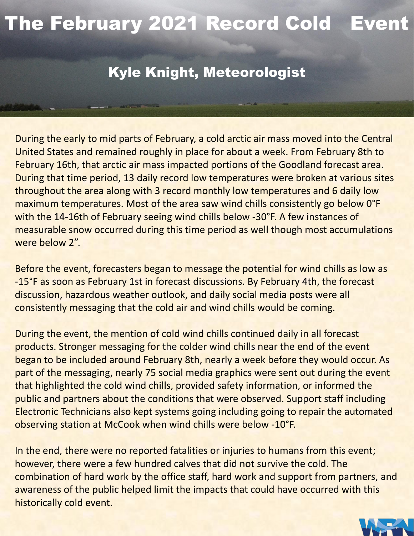### The February 2021 Record Cold Event

#### Kyle Knight, Meteorologist

During the early to mid parts of February, a cold arctic air mass moved into the Central United States and remained roughly in place for about a week. From February 8th to February 16th, that arctic air mass impacted portions of the Goodland forecast area. During that time period, 13 daily record low temperatures were broken at various sites throughout the area along with 3 record monthly low temperatures and 6 daily low maximum temperatures. Most of the area saw wind chills consistently go below 0°F with the 14-16th of February seeing wind chills below -30°F. A few instances of measurable snow occurred during this time period as well though most accumulations were below 2".

Before the event, forecasters began to message the potential for wind chills as low as -15°F as soon as February 1st in forecast discussions. By February 4th, the forecast discussion, hazardous weather outlook, and daily social media posts were all consistently messaging that the cold air and wind chills would be coming.

During the event, the mention of cold wind chills continued daily in all forecast products. Stronger messaging for the colder wind chills near the end of the event began to be included around February 8th, nearly a week before they would occur. As part of the messaging, nearly 75 social media graphics were sent out during the event that highlighted the cold wind chills, provided safety information, or informed the public and partners about the conditions that were observed. Support staff including Electronic Technicians also kept systems going including going to repair the automated observing station at McCook when wind chills were below -10°F.

In the end, there were no reported fatalities or injuries to humans from this event; however, there were a few hundred calves that did not survive the cold. The combination of hard work by the office staff, hard work and support from partners, and awareness of the public helped limit the impacts that could have occurred with this historically cold event.

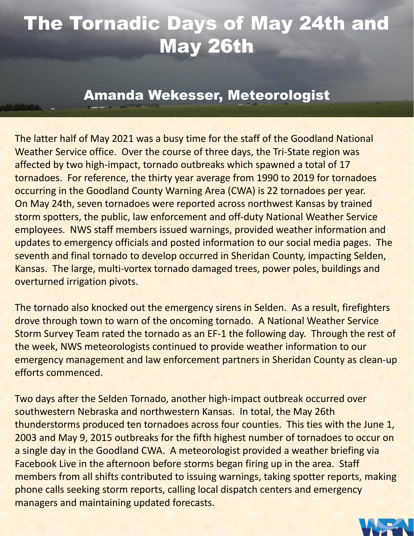### The Tornadic Days of May 24th and May 26th

#### Amanda Wekesser, Meteorologist

The latter half of May 2021 was a busy time for the staff of the Goodland National Weather Service office. Over the course of three days, the Tri-State region was affected by two high-impact, tornado outbreaks which spawned a total of 17 tornadoes. For reference, the thirty year average from 1990 to 2019 for tornadoes occurring in the Goodland County Warning Area (CWA) is 22 tornadoes per year. On May 24th, seven tornadoes were reported across northwest Kansas by trained storm spotters, the public, law enforcement and off-duty National Weather Service employees. NWS staff members issued warnings, provided weather information and updates to emergency officials and posted information to our social media pages. The seventh and final tornado to develop occurred in Sheridan County, impacting Selden, Kansas. The large, multi-vortex tornado damaged trees, power poles, buildings and overturned irrigation pivots.

The tornado also knocked out the emergency sirens in Selden. As a result, firefighters drove through town to warn of the oncoming tornado. A National Weather Service Storm Survey Team rated the tornado as an EF-1 the following day. Through the rest of the week, NWS meteorologists continued to provide weather information to our emergency management and law enforcement partners in Sheridan County as clean-up efforts commenced.

Two days after the Selden Tornado, another high-impact outbreak occurred over southwestern Nebraska and northwestern Kansas. In total, the May 26th thunderstorms produced ten tornadoes across four counties. This ties with the June 1, 2003 and May 9, 2015 outbreaks for the fifth highest number of tornadoes to occur on a single day in the Goodland CWA. A meteorologist provided a weather briefing via Facebook Live in the afternoon before storms began firing up in the area. Staff members from all shifts contributed to issuing warnings, taking spotter reports, making phone calls seeking storm reports, calling local dispatch centers and emergency managers and maintaining updated forecasts.

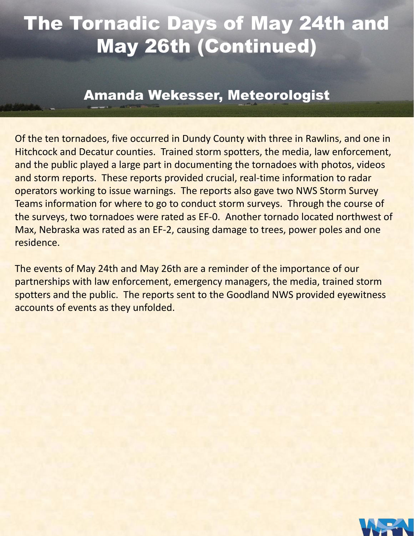### The Tornadic Days of May 24th and May 26th (Continued)

#### Amanda Wekesser, Meteorologist

Of the ten tornadoes, five occurred in Dundy County with three in Rawlins, and one in Hitchcock and Decatur counties. Trained storm spotters, the media, law enforcement, and the public played a large part in documenting the tornadoes with photos, videos and storm reports. These reports provided crucial, real-time information to radar operators working to issue warnings. The reports also gave two NWS Storm Survey Teams information for where to go to conduct storm surveys. Through the course of the surveys, two tornadoes were rated as EF-0. Another tornado located northwest of Max, Nebraska was rated as an EF-2, causing damage to trees, power poles and one residence.

The events of May 24th and May 26th are a reminder of the importance of our partnerships with law enforcement, emergency managers, the media, trained storm spotters and the public. The reports sent to the Goodland NWS provided eyewitness accounts of events as they unfolded.

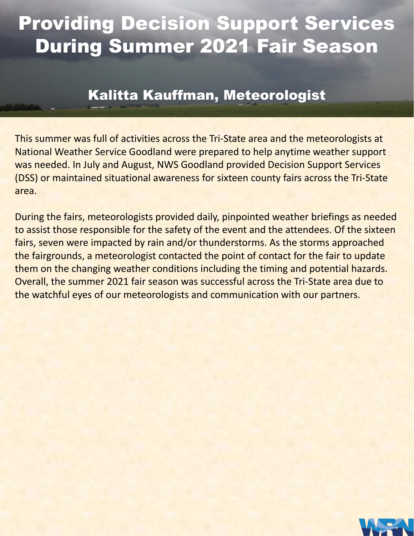### Providing Decision Support Services During Summer 2021 Fair Season

#### Kalitta Kauffman, Meteorologist

This summer was full of activities across the Tri-State area and the meteorologists at National Weather Service Goodland were prepared to help anytime weather support was needed. In July and August, NWS Goodland provided Decision Support Services (DSS) or maintained situational awareness for sixteen county fairs across the Tri-State area.

During the fairs, meteorologists provided daily, pinpointed weather briefings as needed to assist those responsible for the safety of the event and the attendees. Of the sixteen fairs, seven were impacted by rain and/or thunderstorms. As the storms approached the fairgrounds, a meteorologist contacted the point of contact for the fair to update them on the changing weather conditions including the timing and potential hazards. Overall, the summer 2021 fair season was successful across the Tri-State area due to the watchful eyes of our meteorologists and communication with our partners.

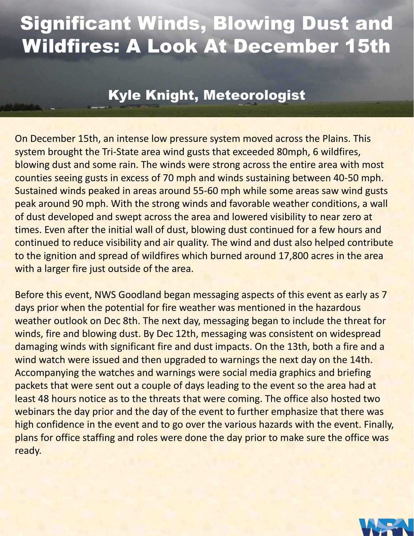### Significant Winds, Blowing Dust and Wildfires: A Look At December 15th

#### Kyle Knight, Meteorologist

On December 15th, an intense low pressure system moved across the Plains. This system brought the Tri-State area wind gusts that exceeded 80mph, 6 wildfires, blowing dust and some rain. The winds were strong across the entire area with most counties seeing gusts in excess of 70 mph and winds sustaining between 40-50 mph. Sustained winds peaked in areas around 55-60 mph while some areas saw wind gusts peak around 90 mph. With the strong winds and favorable weather conditions, a wall of dust developed and swept across the area and lowered visibility to near zero at times. Even after the initial wall of dust, blowing dust continued for a few hours and continued to reduce visibility and air quality. The wind and dust also helped contribute to the ignition and spread of wildfires which burned around 17,800 acres in the area with a larger fire just outside of the area.

Before this event, NWS Goodland began messaging aspects of this event as early as 7 days prior when the potential for fire weather was mentioned in the hazardous weather outlook on Dec 8th. The next day, messaging began to include the threat for winds, fire and blowing dust. By Dec 12th, messaging was consistent on widespread damaging winds with significant fire and dust impacts. On the 13th, both a fire and a wind watch were issued and then upgraded to warnings the next day on the 14th. Accompanying the watches and warnings were social media graphics and briefing packets that were sent out a couple of days leading to the event so the area had at least 48 hours notice as to the threats that were coming. The office also hosted two webinars the day prior and the day of the event to further emphasize that there was high confidence in the event and to go over the various hazards with the event. Finally, plans for office staffing and roles were done the day prior to make sure the office was ready.

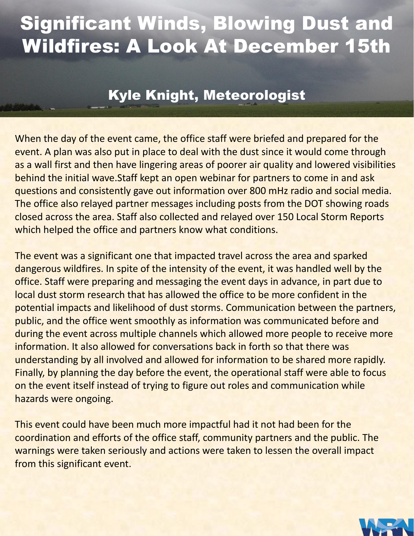### Significant Winds, Blowing Dust and Wildfires: A Look At December 15th

#### Kyle Knight, Meteorologist

When the day of the event came, the office staff were briefed and prepared for the event. A plan was also put in place to deal with the dust since it would come through as a wall first and then have lingering areas of poorer air quality and lowered visibilities behind the initial wave.Staff kept an open webinar for partners to come in and ask questions and consistently gave out information over 800 mHz radio and social media. The office also relayed partner messages including posts from the DOT showing roads closed across the area. Staff also collected and relayed over 150 Local Storm Reports which helped the office and partners know what conditions.

The event was a significant one that impacted travel across the area and sparked dangerous wildfires. In spite of the intensity of the event, it was handled well by the office. Staff were preparing and messaging the event days in advance, in part due to local dust storm research that has allowed the office to be more confident in the potential impacts and likelihood of dust storms. Communication between the partners, public, and the office went smoothly as information was communicated before and during the event across multiple channels which allowed more people to receive more information. It also allowed for conversations back in forth so that there was understanding by all involved and allowed for information to be shared more rapidly. Finally, by planning the day before the event, the operational staff were able to focus on the event itself instead of trying to figure out roles and communication while hazards were ongoing.

This event could have been much more impactful had it not had been for the coordination and efforts of the office staff, community partners and the public. The warnings were taken seriously and actions were taken to lessen the overall impact from this significant event.

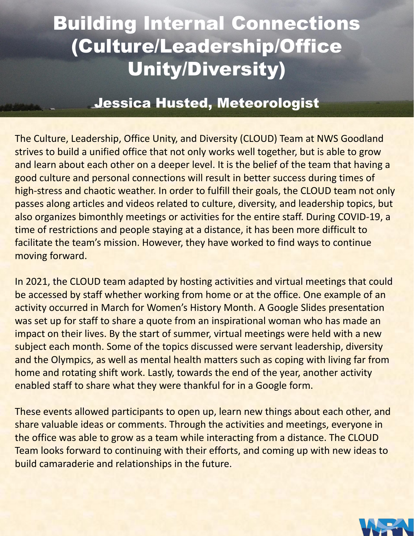### Building Internal Connections (Culture/Leadership/Office Unity/Diversity)

#### Jessica Husted, Meteorologist

The Culture, Leadership, Office Unity, and Diversity (CLOUD) Team at NWS Goodland strives to build a unified office that not only works well together, but is able to grow and learn about each other on a deeper level. It is the belief of the team that having a good culture and personal connections will result in better success during times of high-stress and chaotic weather. In order to fulfill their goals, the CLOUD team not only passes along articles and videos related to culture, diversity, and leadership topics, but also organizes bimonthly meetings or activities for the entire staff. During COVID-19, a time of restrictions and people staying at a distance, it has been more difficult to facilitate the team's mission. However, they have worked to find ways to continue moving forward.

In 2021, the CLOUD team adapted by hosting activities and virtual meetings that could be accessed by staff whether working from home or at the office. One example of an activity occurred in March for Women's History Month. A Google Slides presentation was set up for staff to share a quote from an inspirational woman who has made an impact on their lives. By the start of summer, virtual meetings were held with a new subject each month. Some of the topics discussed were servant leadership, diversity and the Olympics, as well as mental health matters such as coping with living far from home and rotating shift work. Lastly, towards the end of the year, another activity enabled staff to share what they were thankful for in a Google form.

These events allowed participants to open up, learn new things about each other, and share valuable ideas or comments. Through the activities and meetings, everyone in the office was able to grow as a team while interacting from a distance. The CLOUD Team looks forward to continuing with their efforts, and coming up with new ideas to build camaraderie and relationships in the future.

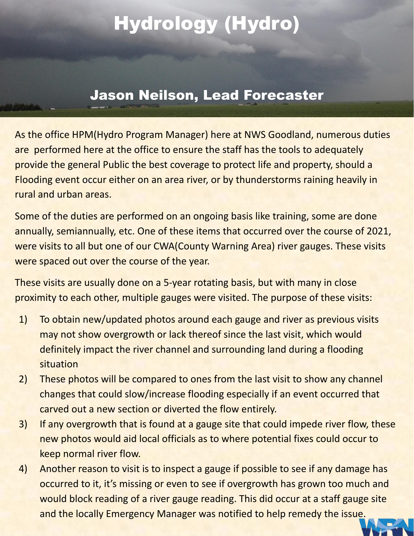### Hydrology (Hydro)

#### Jason Neilson, Lead Forecaster

As the office HPM(Hydro Program Manager) here at NWS Goodland, numerous duties are performed here at the office to ensure the staff has the tools to adequately provide the general Public the best coverage to protect life and property, should a Flooding event occur either on an area river, or by thunderstorms raining heavily in rural and urban areas.

Some of the duties are performed on an ongoing basis like training, some are done annually, semiannually, etc. One of these items that occurred over the course of 2021, were visits to all but one of our CWA(County Warning Area) river gauges. These visits were spaced out over the course of the year.

These visits are usually done on a 5-year rotating basis, but with many in close proximity to each other, multiple gauges were visited. The purpose of these visits:

- 1) To obtain new/updated photos around each gauge and river as previous visits may not show overgrowth or lack thereof since the last visit, which would definitely impact the river channel and surrounding land during a flooding situation
- 2) These photos will be compared to ones from the last visit to show any channel changes that could slow/increase flooding especially if an event occurred that carved out a new section or diverted the flow entirely.
- 3) If any overgrowth that is found at a gauge site that could impede river flow, these new photos would aid local officials as to where potential fixes could occur to keep normal river flow.
- 4) Another reason to visit is to inspect a gauge if possible to see if any damage has occurred to it, it's missing or even to see if overgrowth has grown too much and would block reading of a river gauge reading. This did occur at a staff gauge site and the locally Emergency Manager was notified to help remedy the issue.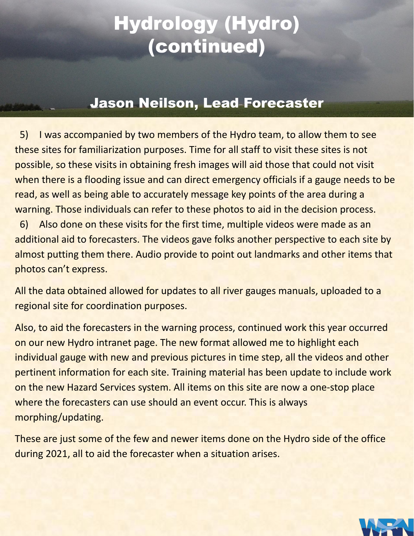### Hydrology (Hydro) (continued)

#### Jason Neilson, Lead Forecaster

 5) I was accompanied by two members of the Hydro team, to allow them to see these sites for familiarization purposes. Time for all staff to visit these sites is not possible, so these visits in obtaining fresh images will aid those that could not visit when there is a flooding issue and can direct emergency officials if a gauge needs to be read, as well as being able to accurately message key points of the area during a warning. Those individuals can refer to these photos to aid in the decision process.

 6) Also done on these visits for the first time, multiple videos were made as an additional aid to forecasters. The videos gave folks another perspective to each site by almost putting them there. Audio provide to point out landmarks and other items that photos can't express.

All the data obtained allowed for updates to all river gauges manuals, uploaded to a regional site for coordination purposes.

Also, to aid the forecasters in the warning process, continued work this year occurred on our new Hydro intranet page. The new format allowed me to highlight each individual gauge with new and previous pictures in time step, all the videos and other pertinent information for each site. Training material has been update to include work on the new Hazard Services system. All items on this site are now a one-stop place where the forecasters can use should an event occur. This is always morphing/updating.

These are just some of the few and newer items done on the Hydro side of the office during 2021, all to aid the forecaster when a situation arises.

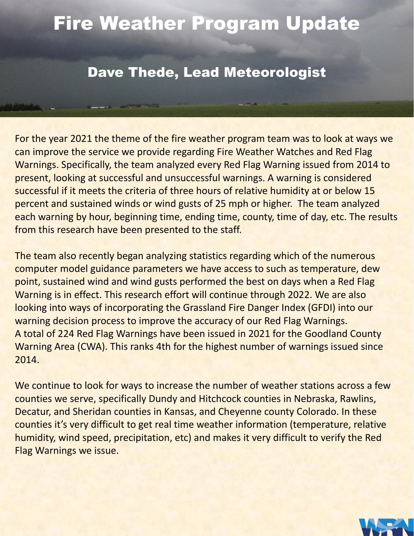### Fire Weather Program Update

#### Dave Thede, Lead Meteorologist

For the year 2021 the theme of the fire weather program team was to look at ways we can improve the service we provide regarding Fire Weather Watches and Red Flag Warnings. Specifically, the team analyzed every Red Flag Warning issued from 2014 to present, looking at successful and unsuccessful warnings. A warning is considered successful if it meets the criteria of three hours of relative humidity at or below 15 percent and sustained winds or wind gusts of 25 mph or higher. The team analyzed each warning by hour, beginning time, ending time, county, time of day, etc. The results from this research have been presented to the staff.

The team also recently began analyzing statistics regarding which of the numerous computer model guidance parameters we have access to such as temperature, dew point, sustained wind and wind gusts performed the best on days when a Red Flag Warning is in effect. This research effort will continue through 2022. We are also looking into ways of incorporating the Grassland Fire Danger Index (GFDI) into our warning decision process to improve the accuracy of our Red Flag Warnings. A total of 224 Red Flag Warnings have been issued in 2021 for the Goodland County Warning Area (CWA). This ranks 4th for the highest number of warnings issued since 2014.

We continue to look for ways to increase the number of weather stations across a few counties we serve, specifically Dundy and Hitchcock counties in Nebraska, Rawlins, Decatur, and Sheridan counties in Kansas, and Cheyenne county Colorado. In these counties it's very difficult to get real time weather information (temperature, relative humidity, wind speed, precipitation, etc) and makes it very difficult to verify the Red Flag Warnings we issue.

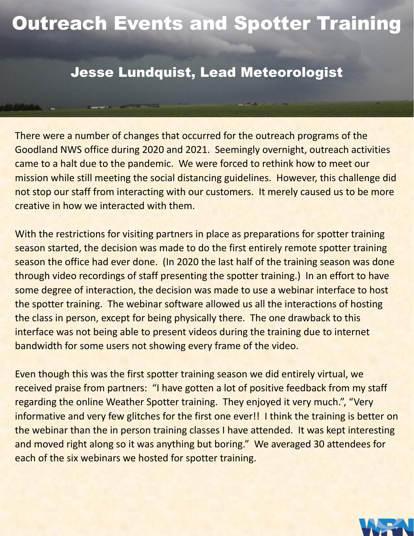### Outreach Events and Spotter Training

#### Jesse Lundquist, Lead Meteorologist

There were a number of changes that occurred for the outreach programs of the Goodland NWS office during 2020 and 2021. Seemingly overnight, outreach activities came to a halt due to the pandemic. We were forced to rethink how to meet our mission while still meeting the social distancing guidelines. However, this challenge did not stop our staff from interacting with our customers. It merely caused us to be more creative in how we interacted with them.

With the restrictions for visiting partners in place as preparations for spotter training season started, the decision was made to do the first entirely remote spotter training season the office had ever done. (In 2020 the last half of the training season was done through video recordings of staff presenting the spotter training.) In an effort to have some degree of interaction, the decision was made to use a webinar interface to host the spotter training. The webinar software allowed us all the interactions of hosting the class in person, except for being physically there. The one drawback to this interface was not being able to present videos during the training due to internet bandwidth for some users not showing every frame of the video.

Even though this was the first spotter training season we did entirely virtual, we received praise from partners: "I have gotten a lot of positive feedback from my staff regarding the online Weather Spotter training. They enjoyed it very much.", "Very informative and very few glitches for the first one ever!! I think the training is better on the webinar than the in person training classes I have attended. It was kept interesting and moved right along so it was anything but boring." We averaged 30 attendees for each of the six webinars we hosted for spotter training.

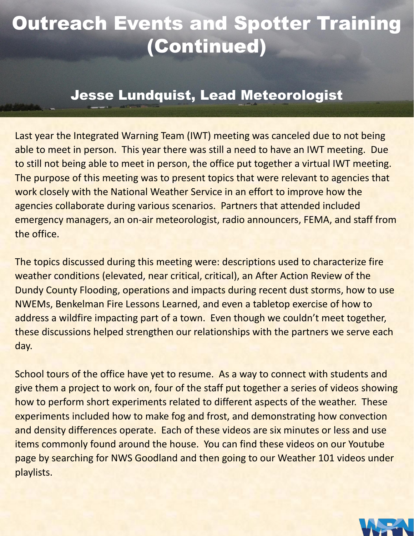### Outreach Events and Spotter Training (Continued)

#### Jesse Lundquist, Lead Meteorologist

Last year the Integrated Warning Team (IWT) meeting was canceled due to not being able to meet in person. This year there was still a need to have an IWT meeting. Due to still not being able to meet in person, the office put together a virtual IWT meeting. The purpose of this meeting was to present topics that were relevant to agencies that work closely with the National Weather Service in an effort to improve how the agencies collaborate during various scenarios. Partners that attended included emergency managers, an on-air meteorologist, radio announcers, FEMA, and staff from the office.

The topics discussed during this meeting were: descriptions used to characterize fire weather conditions (elevated, near critical, critical), an After Action Review of the Dundy County Flooding, operations and impacts during recent dust storms, how to use NWEMs, Benkelman Fire Lessons Learned, and even a tabletop exercise of how to address a wildfire impacting part of a town. Even though we couldn't meet together, these discussions helped strengthen our relationships with the partners we serve each day.

School tours of the office have yet to resume. As a way to connect with students and give them a project to work on, four of the staff put together a series of videos showing how to perform short experiments related to different aspects of the weather. These experiments included how to make fog and frost, and demonstrating how convection and density differences operate. Each of these videos are six minutes or less and use items commonly found around the house. You can find these videos on our Youtube page by searching for NWS Goodland and then going to our Weather 101 videos under playlists.

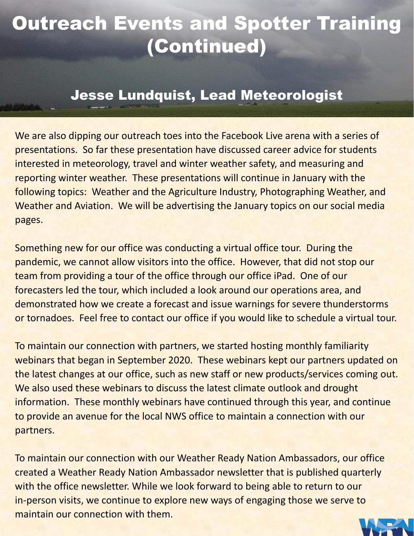### Outreach Events and Spotter Training (Continued)

#### Jesse Lundquist, Lead Meteorologist

We are also dipping our outreach toes into the Facebook Live arena with a series of presentations. So far these presentation have discussed career advice for students interested in meteorology, travel and winter weather safety, and measuring and reporting winter weather. These presentations will continue in January with the following topics: Weather and the Agriculture Industry, Photographing Weather, and Weather and Aviation. We will be advertising the January topics on our social media pages.

Something new for our office was conducting a virtual office tour. During the pandemic, we cannot allow visitors into the office. However, that did not stop our team from providing a tour of the office through our office iPad. One of our forecasters led the tour, which included a look around our operations area, and demonstrated how we create a forecast and issue warnings for severe thunderstorms or tornadoes. Feel free to contact our office if you would like to schedule a virtual tour.

To maintain our connection with partners, we started hosting monthly familiarity webinars that began in September 2020. These webinars kept our partners updated on the latest changes at our office, such as new staff or new products/services coming out. We also used these webinars to discuss the latest climate outlook and drought information. These monthly webinars have continued through this year, and continue to provide an avenue for the local NWS office to maintain a connection with our partners.

To maintain our connection with our Weather Ready Nation Ambassadors, our office created a Weather Ready Nation Ambassador newsletter that is published quarterly with the office newsletter. While we look forward to being able to return to our in-person visits, we continue to explore new ways of engaging those we serve to maintain our connection with them.

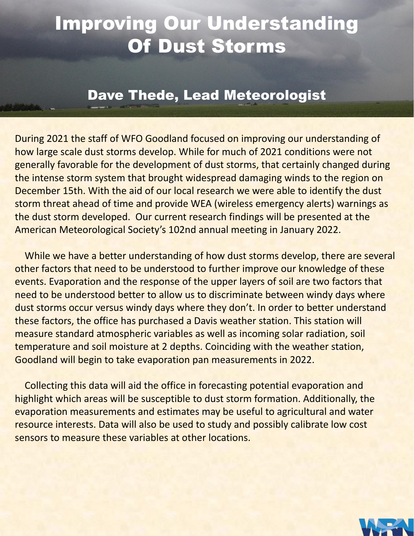### Improving Our Understanding Of Dust Storms

#### Dave Thede, Lead Meteorologist

During 2021 the staff of WFO Goodland focused on improving our understanding of how large scale dust storms develop. While for much of 2021 conditions were not generally favorable for the development of dust storms, that certainly changed during the intense storm system that brought widespread damaging winds to the region on December 15th. With the aid of our local research we were able to identify the dust storm threat ahead of time and provide WEA (wireless emergency alerts) warnings as the dust storm developed. Our current research findings will be presented at the American Meteorological Society's 102nd annual meeting in January 2022.

 While we have a better understanding of how dust storms develop, there are several other factors that need to be understood to further improve our knowledge of these events. Evaporation and the response of the upper layers of soil are two factors that need to be understood better to allow us to discriminate between windy days where dust storms occur versus windy days where they don't. In order to better understand these factors, the office has purchased a Davis weather station. This station will measure standard atmospheric variables as well as incoming solar radiation, soil temperature and soil moisture at 2 depths. Coinciding with the weather station, Goodland will begin to take evaporation pan measurements in 2022.

 Collecting this data will aid the office in forecasting potential evaporation and highlight which areas will be susceptible to dust storm formation. Additionally, the evaporation measurements and estimates may be useful to agricultural and water resource interests. Data will also be used to study and possibly calibrate low cost sensors to measure these variables at other locations.

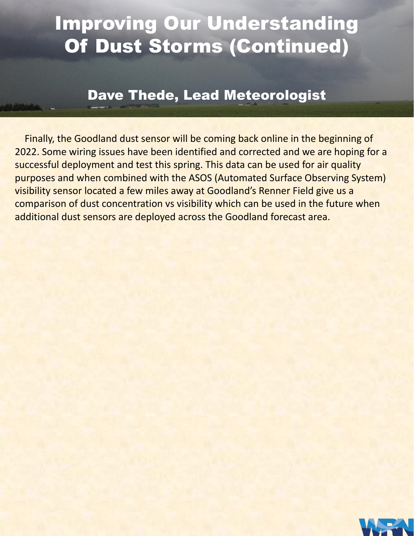### Improving Our Understanding Of Dust Storms (Continued)

#### Dave Thede, Lead Meteorologist

 Finally, the Goodland dust sensor will be coming back online in the beginning of 2022. Some wiring issues have been identified and corrected and we are hoping for a successful deployment and test this spring. This data can be used for air quality purposes and when combined with the ASOS (Automated Surface Observing System) visibility sensor located a few miles away at Goodland's Renner Field give us a comparison of dust concentration vs visibility which can be used in the future when additional dust sensors are deployed across the Goodland forecast area.

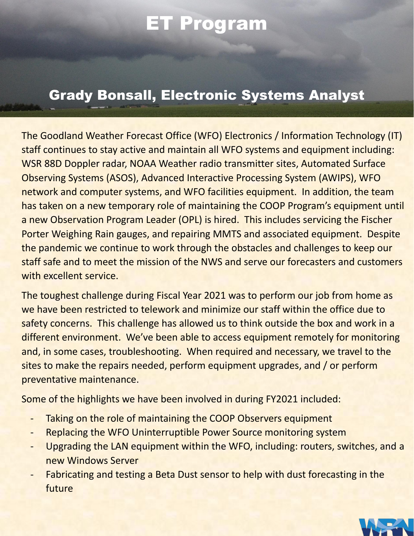### ET Program

#### Grady Bonsall, Electronic Systems Analyst

The Goodland Weather Forecast Office (WFO) Electronics / Information Technology (IT) staff continues to stay active and maintain all WFO systems and equipment including: WSR 88D Doppler radar, NOAA Weather radio transmitter sites, Automated Surface Observing Systems (ASOS), Advanced Interactive Processing System (AWIPS), WFO network and computer systems, and WFO facilities equipment. In addition, the team has taken on a new temporary role of maintaining the COOP Program's equipment until a new Observation Program Leader (OPL) is hired. This includes servicing the Fischer Porter Weighing Rain gauges, and repairing MMTS and associated equipment. Despite the pandemic we continue to work through the obstacles and challenges to keep our staff safe and to meet the mission of the NWS and serve our forecasters and customers with excellent service.

The toughest challenge during Fiscal Year 2021 was to perform our job from home as we have been restricted to telework and minimize our staff within the office due to safety concerns. This challenge has allowed us to think outside the box and work in a different environment. We've been able to access equipment remotely for monitoring and, in some cases, troubleshooting. When required and necessary, we travel to the sites to make the repairs needed, perform equipment upgrades, and / or perform preventative maintenance.

Some of the highlights we have been involved in during FY2021 included:

- Taking on the role of maintaining the COOP Observers equipment
- Replacing the WFO Uninterruptible Power Source monitoring system
- Upgrading the LAN equipment within the WFO, including: routers, switches, and a new Windows Server
- Fabricating and testing a Beta Dust sensor to help with dust forecasting in the future

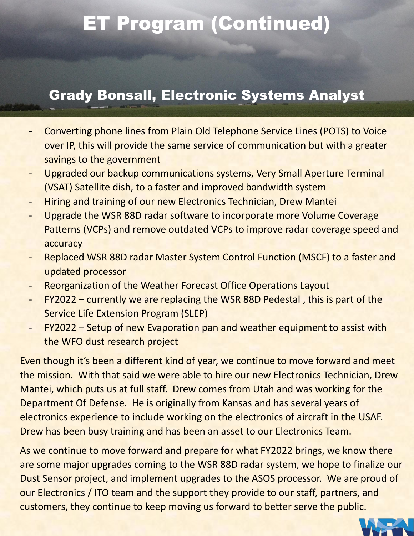### ET Program (Continued)

#### Grady Bonsall, Electronic Systems Analyst

- Converting phone lines from Plain Old Telephone Service Lines (POTS) to Voice over IP, this will provide the same service of communication but with a greater savings to the government
- Upgraded our backup communications systems, Very Small Aperture Terminal (VSAT) Satellite dish, to a faster and improved bandwidth system
- Hiring and training of our new Electronics Technician, Drew Mantei
- Upgrade the WSR 88D radar software to incorporate more Volume Coverage Patterns (VCPs) and remove outdated VCPs to improve radar coverage speed and accuracy
- Replaced WSR 88D radar Master System Control Function (MSCF) to a faster and updated processor
- Reorganization of the Weather Forecast Office Operations Layout
- FY2022 currently we are replacing the WSR 88D Pedestal, this is part of the Service Life Extension Program (SLEP)
- FY2022 Setup of new Evaporation pan and weather equipment to assist with the WFO dust research project

Even though it's been a different kind of year, we continue to move forward and meet the mission. With that said we were able to hire our new Electronics Technician, Drew Mantei, which puts us at full staff. Drew comes from Utah and was working for the Department Of Defense. He is originally from Kansas and has several years of electronics experience to include working on the electronics of aircraft in the USAF. Drew has been busy training and has been an asset to our Electronics Team.

As we continue to move forward and prepare for what FY2022 brings, we know there are some major upgrades coming to the WSR 88D radar system, we hope to finalize our Dust Sensor project, and implement upgrades to the ASOS processor. We are proud of our Electronics / ITO team and the support they provide to our staff, partners, and customers, they continue to keep moving us forward to better serve the public.

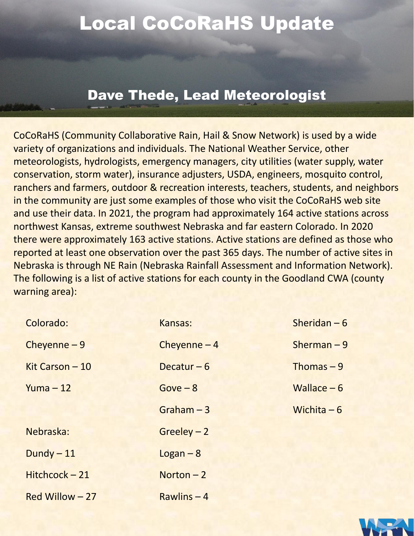### Local CoCoRaHS Update

#### Dave Thede, Lead Meteorologist

CoCoRaHS (Community Collaborative Rain, Hail & Snow Network) is used by a wide variety of organizations and individuals. The National Weather Service, other meteorologists, hydrologists, emergency managers, city utilities (water supply, water conservation, storm water), insurance adjusters, USDA, engineers, mosquito control, ranchers and farmers, outdoor & recreation interests, teachers, students, and neighbors in the community are just some examples of those who visit the CoCoRaHS web site and use their data. In 2021, the program had approximately 164 active stations across northwest Kansas, extreme southwest Nebraska and far eastern Colorado. In 2020 there were approximately 163 active stations. Active stations are defined as those who reported at least one observation over the past 365 days. The number of active sites in Nebraska is through NE Rain (Nebraska Rainfall Assessment and Information Network). The following is a list of active stations for each county in the Goodland CWA (county warning area):

| Colorado:       | Kansas:       | Sheridan $-6$ |
|-----------------|---------------|---------------|
| Cheyenne $-9$   | Cheyenne $-4$ | Sherman $-9$  |
| Kit Carson - 10 | Decatur $-6$  | Thomas $-9$   |
| $Yuma - 12$     | $Gove - 8$    | Wallace $-6$  |
|                 | Graham $-3$   | Wichita $-6$  |
| Nebraska:       | $Greedy - 2$  |               |
| Dundy $-11$     | $Logan - 8$   |               |
| Hitchcock-21    | Norton $-2$   |               |
| Red Willow - 27 | Rawlins $-4$  |               |